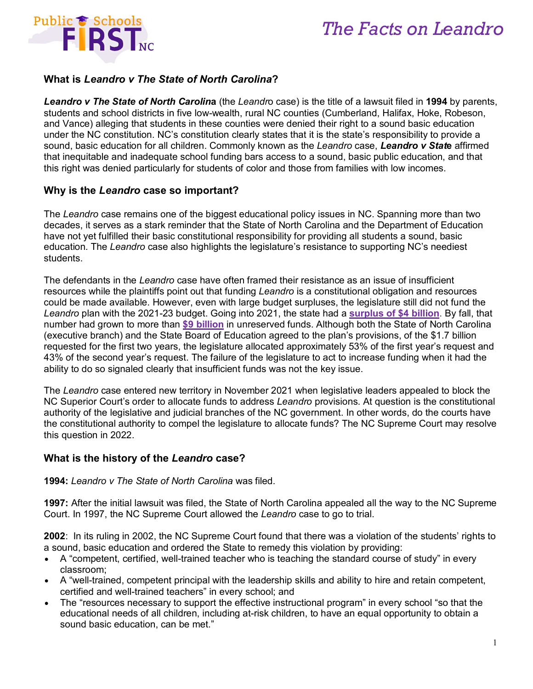

## *The Facts on Leandro*

### **What is** *Leandro v The State of North Carolina***?**

*Leandro v The State of North Carolin***a** (the *Leandr*o case) is the title of a lawsuit filed in **1994** by parents, students and school districts in five low-wealth, rural NC counties (Cumberland, Halifax, Hoke, Robeson, and Vance) alleging that students in these counties were denied their right to a sound basic education under the NC constitution. NC's constitution clearly states that it is the state's responsibility to provide a sound, basic education for all children. Commonly known as the *Leandro* case, *Leandro v Stat***e** affirmed that inequitable and inadequate school funding bars access to a sound, basic public education, and that this right was denied particularly for students of color and those from families with low incomes.

#### **Why is the** *Leandro* **case so important?**

The *Leandro* case remains one of the biggest educational policy issues in NC. Spanning more than two decades, it serves as a stark reminder that the State of North Carolina and the Department of Education have not yet fulfilled their basic constitutional responsibility for providing all students a sound, basic education. The *Leandro* case also highlights the legislature's resistance to supporting NC's neediest students.

The defendants in the *Leandro* case have often framed their resistance as an issue of insufficient resources while the plaintiffs point out that funding *Leandro* is a constitutional obligation and resources could be made available. However, even with large budget surpluses, the legislature still did not fund the *Leandro* plan with the 2021-23 budget. Going into 2021, the state had a **[surplus of \\$4 billion](https://files.nc.gov/ncosc/documents/files/GFMR/2020/Dec_2020_Gen_Fund_Monthly_Report.pdf)**. By fall, that number had grown to more than **[\\$9 billion](https://files.nc.gov/ncosc/documents/files/Sept_2021_Gen_Fund_Monthly_Report.pdf)** in unreserved funds. Although both the State of North Carolina (executive branch) and the State Board of Education agreed to the plan's provisions, of the \$1.7 billion requested for the first two years, the legislature allocated approximately 53% of the first year's request and 43% of the second year's request. The failure of the legislature to act to increase funding when it had the ability to do so signaled clearly that insufficient funds was not the key issue.

The *Leandro* case entered new territory in November 2021 when legislative leaders appealed to block the NC Superior Court's order to allocate funds to address *Leandro* provisions. At question is the constitutional authority of the legislative and judicial branches of the NC government. In other words, do the courts have the constitutional authority to compel the legislature to allocate funds? The NC Supreme Court may resolve this question in 2022.

### **What is the history of the** *Leandro* **case?**

**1994:** *Leandro v The State of North Carolina* was filed.

**1997:** After the initial lawsuit was filed, the State of North Carolina appealed all the way to the NC Supreme Court. In 1997, the NC Supreme Court allowed the *Leandro* case to go to trial.

**2002**: In its ruling in 2002, the NC Supreme Court found that there was a violation of the students' rights to a sound, basic education and ordered the State to remedy this violation by providing:

- A "competent, certified, well-trained teacher who is teaching the standard course of study" in every classroom;
- A "well-trained, competent principal with the leadership skills and ability to hire and retain competent, certified and well-trained teachers" in every school; and
- The "resources necessary to support the effective instructional program" in every school "so that the educational needs of all children, including at-risk children, to have an equal opportunity to obtain a sound basic education, can be met."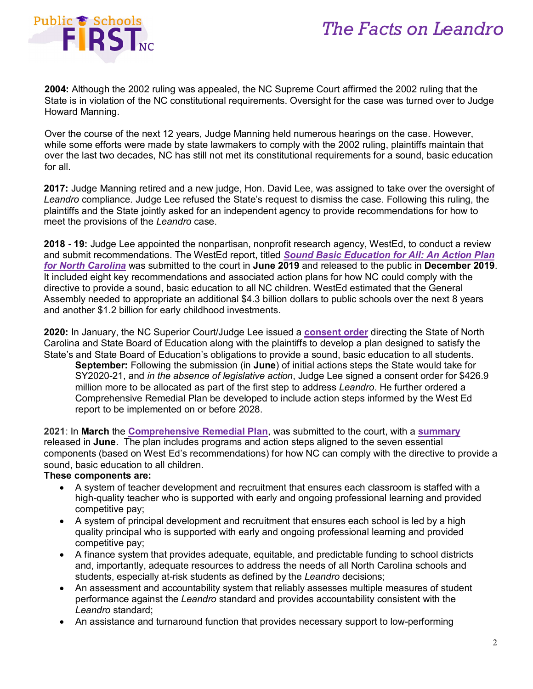# *The Facts on Leandro*



**2004:** Although the 2002 ruling was appealed, the NC Supreme Court affirmed the 2002 ruling that the State is in violation of the NC constitutional requirements. Oversight for the case was turned over to Judge Howard Manning.

Over the course of the next 12 years, Judge Manning held numerous hearings on the case. However, while some efforts were made by state lawmakers to comply with the 2002 ruling, plaintiffs maintain that over the last two decades, NC has still not met its constitutional requirements for a sound, basic education for all.

**2017:** Judge Manning retired and a new judge, Hon. David Lee, was assigned to take over the oversight of *Leandro* compliance. Judge Lee refused the State's request to dismiss the case. Following this ruling, the plaintiffs and the State jointly asked for an independent agency to provide recommendations for how to meet the provisions of the *Leandro* case.

**2018 - 19:** Judge Lee appointed the nonpartisan, nonprofit research agency, WestEd, to conduct a review and submit recommendations. The WestEd report, titled *Sound Basic [Education](https://www.publicschoolsfirstnc.org/wp-content/uploads/2019/12/Sound-Basic-Education-for-All.pdf) for All: An Action Plan for North [Carolina](https://www.publicschoolsfirstnc.org/wp-content/uploads/2019/12/Sound-Basic-Education-for-All.pdf)* was submitted to the court in **June 2019** and released to the public in **December 2019**. It included eight key recommendations and associated action plans for how NC could comply with the directive to provide a sound, basic education to all NC children. WestEd estimated that the General Assembly needed to appropriate an additional \$4.3 billion dollars to public schools over the next 8 years and another \$1.2 billion for early childhood investments.

**2020:** In January, the NC Superior Court/Judge Lee issued a **[consent](https://www.publicschoolsfirstnc.org/wp-content/uploads/2020/01/File-stamped-Order-dated-1-21-2019.pdf) order** directing the State of North Carolina and State Board of Education along with the plaintiffs to develop a plan designed to satisfy the State's and State Board of Education's obligations to provide a sound, basic education to all students.

**September:** Following the submission (in **June**) of initial actions steps the State would take for SY2020-21, and *in the absence of legislative action*, Judge Lee signed a consent order for \$426.9 million more to be allocated as part of the first step to address *Leandro*. He further ordered a Comprehensive Remedial Plan be developed to include action steps informed by the West Ed report to be implemented on or before 2028.

**2021**: In **March** the **[Comprehensive Remedial Plan](https://www.publicschoolsfirstnc.org/wp-content/uploads/2021/03/Leandro-Comprehensive-Remedial-Plan-2021.pdf)**, was submitted to the court, with a **[summary](https://files.nc.gov/governor/Comprehensive_Remedial_Plan_Summary_Commission_06292021_0.pdf)** released in **June**. The plan includes programs and action steps aligned to the seven essential components (based on West Ed's recommendations) for how NC can comply with the directive to provide a sound, basic education to all children.

#### **These components are:**

- A system of teacher development and recruitment that ensures each classroom is staffed with a high-quality teacher who is supported with early and ongoing professional learning and provided competitive pay;
- A system of principal development and recruitment that ensures each school is led by a high quality principal who is supported with early and ongoing professional learning and provided competitive pay;
- A finance system that provides adequate, equitable, and predictable funding to school districts and, importantly, adequate resources to address the needs of all North Carolina schools and students, especially at-risk students as defined by the *Leandro* decisions;
- An assessment and accountability system that reliably assesses multiple measures of student performance against the *Leandro* standard and provides accountability consistent with the *Leandro* standard;
- An assistance and turnaround function that provides necessary support to low-performing